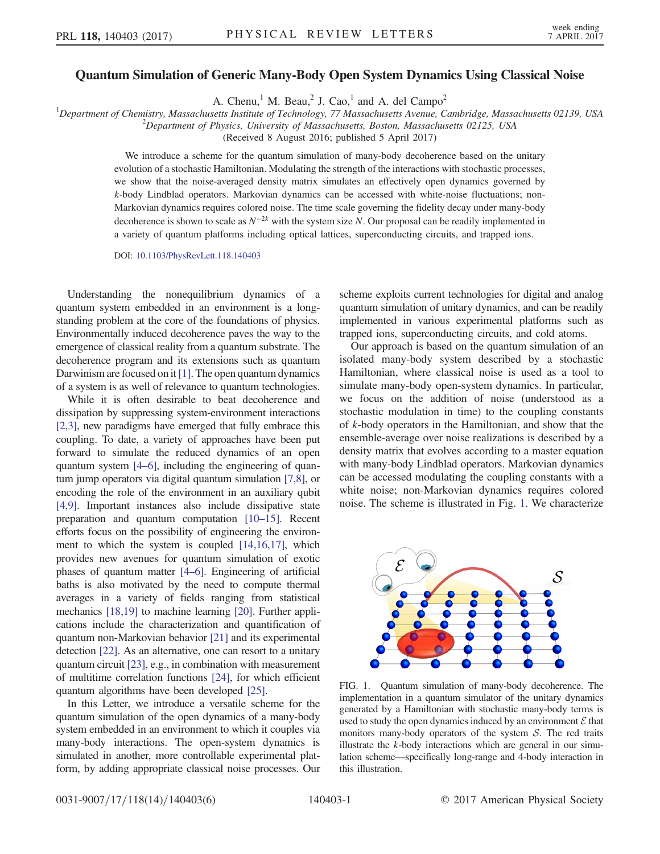## Quantum Simulation of Generic Many-Body Open System Dynamics Using Classical Noise

A. Chenu,<sup>1</sup> M. Beau,<sup>2</sup> J. Cao,<sup>1</sup> and A. del Campo<sup>2</sup>

<sup>1</sup>Department of Chemistry, Massachusetts Institute of Technology, 77 Massachusetts Avenue, Cambridge, Massachusetts 02139, USA <sup>2</sup>Department of Physics, University of Massachusetts Pactor, Massachusetts 02125, USA

 $^2$ Department of Physics, University of Massachusetts, Boston, Massachusetts 02125, USA

(Received 8 August 2016; published 5 April 2017)

We introduce a scheme for the quantum simulation of many-body decoherence based on the unitary evolution of a stochastic Hamiltonian. Modulating the strength of the interactions with stochastic processes, we show that the noise-averaged density matrix simulates an effectively open dynamics governed by k-body Lindblad operators. Markovian dynamics can be accessed with white-noise fluctuations; non-Markovian dynamics requires colored noise. The time scale governing the fidelity decay under many-body decoherence is shown to scale as  $N^{-2k}$  with the system size N. Our proposal can be readily implemented in a variety of quantum platforms including optical lattices, superconducting circuits, and trapped ions.

DOI: [10.1103/PhysRevLett.118.140403](https://doi.org/10.1103/PhysRevLett.118.140403)

Understanding the nonequilibrium dynamics of a quantum system embedded in an environment is a longstanding problem at the core of the foundations of physics. Environmentally induced decoherence paves the way to the emergence of classical reality from a quantum substrate. The decoherence program and its extensions such as quantum Darwinism are focused on it  $[1]$ . The open quantum dynamics of a system is as well of relevance to quantum technologies.

While it is often desirable to beat decoherence and dissipation by suppressing system-environment interactions [\[2,3\]](#page-4-1), new paradigms have emerged that fully embrace this coupling. To date, a variety of approaches have been put forward to simulate the reduced dynamics of an open quantum system [\[4](#page-4-2)–6], including the engineering of quantum jump operators via digital quantum simulation [\[7,8\]](#page-4-3), or encoding the role of the environment in an auxiliary qubit [\[4,9\]](#page-4-2). Important instances also include dissipative state preparation and quantum computation [\[10](#page-4-4)–15]. Recent efforts focus on the possibility of engineering the environment to which the system is coupled [\[14,16,17\]](#page-4-5), which provides new avenues for quantum simulation of exotic phases of quantum matter [\[4](#page-4-2)–6]. Engineering of artificial baths is also motivated by the need to compute thermal averages in a variety of fields ranging from statistical mechanics [\[18,19\]](#page-4-6) to machine learning [\[20\]](#page-4-7). Further applications include the characterization and quantification of quantum non-Markovian behavior [\[21\]](#page-4-8) and its experimental detection [\[22\].](#page-4-9) As an alternative, one can resort to a unitary quantum circuit [\[23\],](#page-4-10) e.g., in combination with measurement of multitime correlation functions [\[24\]](#page-4-11), for which efficient quantum algorithms have been developed [\[25\].](#page-4-12)

In this Letter, we introduce a versatile scheme for the quantum simulation of the open dynamics of a many-body system embedded in an environment to which it couples via many-body interactions. The open-system dynamics is simulated in another, more controllable experimental platform, by adding appropriate classical noise processes. Our scheme exploits current technologies for digital and analog quantum simulation of unitary dynamics, and can be readily implemented in various experimental platforms such as trapped ions, superconducting circuits, and cold atoms.

Our approach is based on the quantum simulation of an isolated many-body system described by a stochastic Hamiltonian, where classical noise is used as a tool to simulate many-body open-system dynamics. In particular, we focus on the addition of noise (understood as a stochastic modulation in time) to the coupling constants of k-body operators in the Hamiltonian, and show that the ensemble-average over noise realizations is described by a density matrix that evolves according to a master equation with many-body Lindblad operators. Markovian dynamics can be accessed modulating the coupling constants with a white noise; non-Markovian dynamics requires colored noise. The scheme is illustrated in Fig. [1.](#page-0-0) We characterize

<span id="page-0-0"></span>

FIG. 1. Quantum simulation of many-body decoherence. The implementation in a quantum simulator of the unitary dynamics generated by a Hamiltonian with stochastic many-body terms is used to study the open dynamics induced by an environment  $\mathcal E$  that monitors many-body operators of the system  $S$ . The red traits illustrate the  $k$ -body interactions which are general in our simulation scheme—specifically long-range and 4-body interaction in this illustration.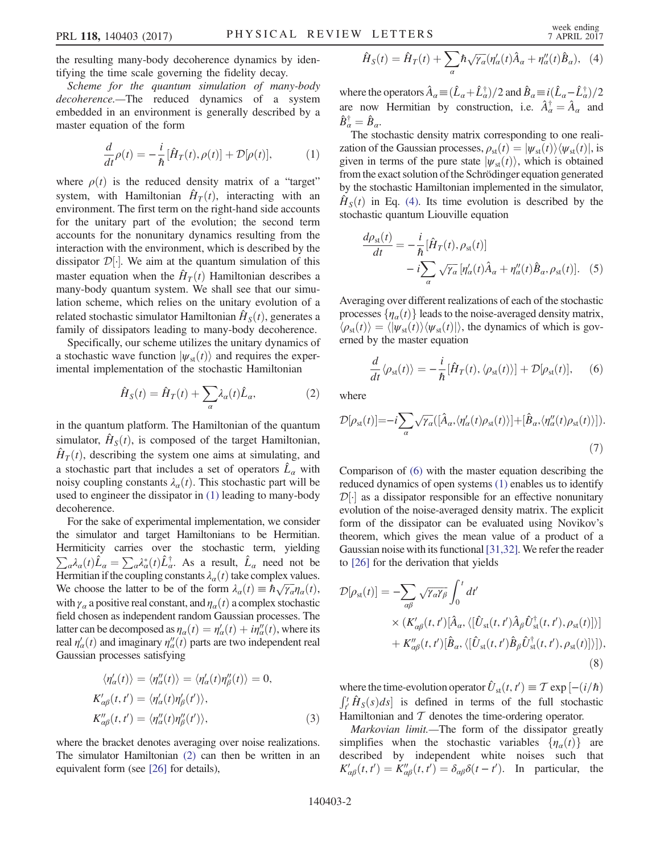the resulting many-body decoherence dynamics by identifying the time scale governing the fidelity decay.

<span id="page-1-0"></span>Scheme for the quantum simulation of many-body decoherence.—The reduced dynamics of a system embedded in an environment is generally described by a master equation of the form

$$
\frac{d}{dt}\rho(t) = -\frac{i}{\hbar}[\hat{H}_T(t), \rho(t)] + \mathcal{D}[\rho(t)],\tag{1}
$$

where  $\rho(t)$  is the reduced density matrix of a "target" system, with Hamiltonian  $\hat{H}_T(t)$ , interacting with an environment. The first term on the right-hand side accounts for the unitary part of the evolution; the second term accounts for the nonunitary dynamics resulting from the interaction with the environment, which is described by the dissipator  $\mathcal{D}[\cdot]$ . We aim at the quantum simulation of this meeter equation when the  $\hat{H}$  (t) Hemiltonian describes a master equation when the  $\hat{H}_T(t)$  Hamiltonian describes a many-body quantum system. We shall see that our simulation scheme, which relies on the unitary evolution of a related stochastic simulator Hamiltonian  $\hat{H}_S(t)$ , generates a family of dissipators leading to many-body decoherence.

<span id="page-1-1"></span>Specifically, our scheme utilizes the unitary dynamics of a stochastic wave function  $|\psi_{st}(t)\rangle$  and requires the experimental implementation of the stochastic Hamiltonian

$$
\hat{H}_S(t) = \hat{H}_T(t) + \sum_{\alpha} \lambda_{\alpha}(t) \hat{L}_{\alpha},\tag{2}
$$

in the quantum platform. The Hamiltonian of the quantum simulator,  $\hat{H}_{S}(t)$ , is composed of the target Hamiltonian,  $H_T(t)$ , describing the system one aims at simulating, and a stochastic part that includes a set of operators  $\hat{L}_{\alpha}$  with noisy coupling constants  $\lambda_{\alpha}(t)$ . This stochastic part will be used to engineer the dissipator in [\(1\)](#page-1-0) leading to many-body decoherence.

For the sake of experimental implementation, we consider the simulator and target Hamiltonians to be Hermitian. Hermiticity carries over the stochastic term, yielding  $\sum_{\alpha} \lambda_{\alpha}(t) \hat{L}_{\alpha} = \sum_{\alpha} \lambda_{\alpha}^{*}(t) \hat{L}_{\alpha}^{\dagger}$ . As a result,  $\hat{L}_{\alpha}$  need not be Hermitian if the counting constants  $\lambda$  (t) take complex values Hermitian if the coupling constants  $\lambda_{\alpha}(t)$  take complex values. We choose the latter to be of the form  $\lambda_{\alpha}(t) \equiv \hbar \sqrt{\gamma_{\alpha}} \eta_{\alpha}(t)$ , with  $\gamma_a$  a positive real constant, and  $\eta_a(t)$  a complex stochastic field chosen as independent random Gaussian processes. The latter can be decomposed as  $\eta_a(t) = \eta'_a(t) + i\eta''_a(t)$ , where its real  $n'(t)$  and imaginary  $n''(t)$  parts are two independent real real  $\eta'_\alpha(t)$  and imaginary  $\eta''_\alpha(t)$  parts are two independent real<br>Gaussian processes satisfying Gaussian processes satisfying

$$
\langle \eta'_{\alpha}(t) \rangle = \langle \eta''_{\alpha}(t) \rangle = \langle \eta'_{\alpha}(t) \eta''_{\beta}(t) \rangle = 0,
$$
  
\n
$$
K'_{\alpha\beta}(t, t') = \langle \eta'_{\alpha}(t) \eta'_{\beta}(t') \rangle,
$$
  
\n
$$
K''_{\alpha\beta}(t, t') = \langle \eta''_{\alpha}(t) \eta''_{\beta}(t') \rangle,
$$
\n(3)

<span id="page-1-2"></span>where the bracket denotes averaging over noise realizations. The simulator Hamiltonian [\(2\)](#page-1-1) can then be written in an equivalent form (see [\[26\]](#page-4-13) for details),

$$
\hat{H}_S(t) = \hat{H}_T(t) + \sum_{\alpha} \hbar \sqrt{\gamma_{\alpha}} (\eta_{\alpha}'(t) \hat{A}_{\alpha} + \eta_{\alpha}''(t) \hat{B}_{\alpha}), \quad (4)
$$

where the operators  $\hat{A}_{\alpha} = (\hat{L}_{\alpha} + \hat{L}_{\alpha}^{\dagger})/2$  and  $\hat{B}_{\alpha} = i(\hat{L}_{\alpha} - \hat{L}_{\alpha}^{\dagger})/2$ are now Hermitian by construction, i.e.  $\hat{A}_{\alpha}^{\dagger} = \hat{A}_{\alpha}$  and  $\hat{B}_{\alpha}^{\dagger} = \hat{B}_{\alpha}$  $\hat{B}_{\alpha}^{\dagger} = \hat{B}_{\alpha}$ .<br>The sto

The stochastic density matrix corresponding to one realization of the Gaussian processes,  $\rho_{st}(t) = |\psi_{st}(t)\rangle\langle\psi_{st}(t)|$ , is given in terms of the pure state  $|\psi_{st}(t)\rangle$ , which is obtained from the exact solution of the Schrödinger equation generated by the stochastic Hamiltonian implemented in the simulator,  $\hat{H}_{S}(t)$  in Eq. [\(4\)](#page-1-2). Its time evolution is described by the stochastic quantum Liouville equation

$$
\frac{d\rho_{\rm st}(t)}{dt} = -\frac{i}{\hbar} [\hat{H}_T(t), \rho_{\rm st}(t)] \n- i \sum_{\alpha} \sqrt{\gamma_{\alpha}} [\eta_{\alpha}'(t) \hat{A}_{\alpha} + \eta_{\alpha}''(t) \hat{B}_{\alpha}, \rho_{\rm st}(t)].
$$
\n(5)

<span id="page-1-3"></span>Averaging over different realizations of each of the stochastic processes  $\{\eta_a(t)\}\$ leads to the noise-averaged density matrix,  $\langle \rho_{st}(t) \rangle = \langle |\psi_{st}(t) \rangle \langle \psi_{st}(t) | \rangle$ , the dynamics of which is governed by the master equation

$$
\frac{d}{dt}\langle \rho_{\rm st}(t) \rangle = -\frac{i}{\hbar}[\hat{H}_T(t), \langle \rho_{\rm st}(t) \rangle] + \mathcal{D}[\rho_{\rm st}(t)], \quad (6)
$$

where

$$
\mathcal{D}[\rho_{\rm st}(t)] = -i \sum_{\alpha} \sqrt{\gamma_{\alpha}} ([\hat{A}_{\alpha}, \langle \eta_{\alpha}'(t) \rho_{\rm st}(t) \rangle] + [\hat{B}_{\alpha}, \langle \eta_{\alpha}''(t) \rho_{\rm st}(t) \rangle]). \tag{7}
$$

Comparison of [\(6\)](#page-1-3) with the master equation describing the reduced dynamics of open systems [\(1\)](#page-1-0) enables us to identify  $\mathcal{D}[\cdot]$  as a dissipator responsible for an effective nonunitary<br>evolution of the noise-averaged density matrix. The explicit evolution of the noise-averaged density matrix. The explicit form of the dissipator can be evaluated using Novikov's theorem, which gives the mean value of a product of a Gaussian noise with its functional [\[31,32\]](#page-4-14). We refer the reader to [\[26\]](#page-4-13) for the derivation that yields

<span id="page-1-4"></span>
$$
\mathcal{D}[\rho_{st}(t)] = -\sum_{\alpha\beta} \sqrt{\gamma_{\alpha}\gamma_{\beta}} \int_{0}^{t} dt'
$$
  
 
$$
\times (K'_{\alpha\beta}(t, t')[\hat{A}_{\alpha}, \langle [\hat{U}_{st}(t, t')\hat{A}_{\beta}\hat{U}_{st}^{\dagger}(t, t'), \rho_{st}(t)]\rangle] + K''_{\alpha\beta}(t, t')[\hat{B}_{\alpha}, \langle [\hat{U}_{st}(t, t')\hat{B}_{\beta}\hat{U}_{st}^{\dagger}(t, t'), \rho_{st}(t)]\rangle]),
$$
(8)

where the time-evolution operator  $\hat{U}_{st}(t, t') \equiv \mathcal{T} \exp \left[-(i/\hbar) \int_0^t \hat{H}_{-}(s) ds\right]$  is defined in terms of the full stochastic  $\int_{t'}^{t} \hat{H}_S(s) ds$  is defined in terms of the full stochastic<br>Hamiltonian and  $\tau$  denotes the time-ordering operator Hamiltonian and  $T$  denotes the time-ordering operator.

Markovian limit.—The form of the dissipator greatly simplifies when the stochastic variables  $\{\eta_{\alpha}(t)\}\$  are described by independent white noises such that  $K'_{\alpha\beta}(t, t') = K''_{\alpha\beta}(t, t') = \delta_{\alpha\beta}\delta(t - t')$ . In particular, the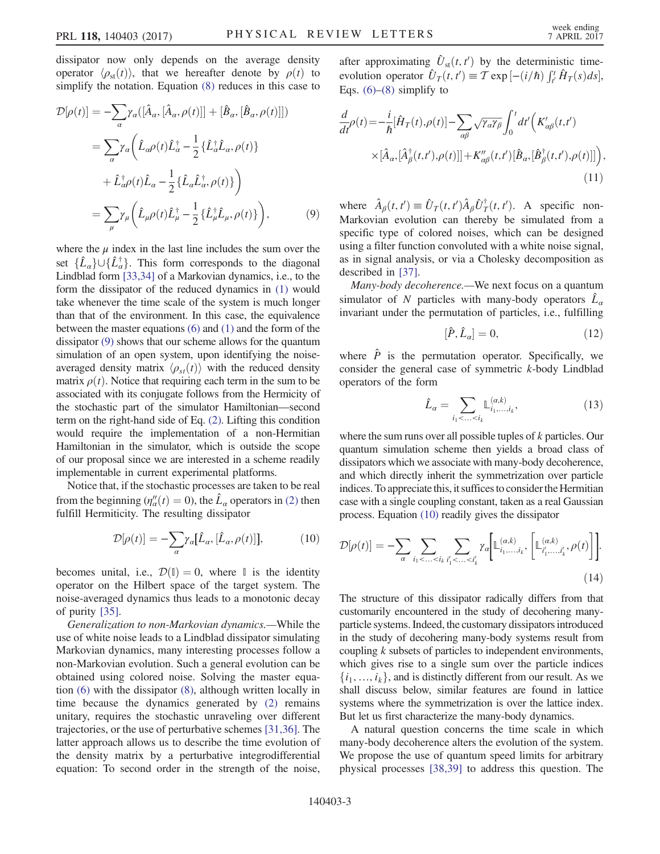<span id="page-2-0"></span>dissipator now only depends on the average density operator  $\langle \rho_{st}(t) \rangle$ , that we hereafter denote by  $\rho(t)$  to simplify the notation. Equation [\(8\)](#page-1-4) reduces in this case to

$$
\mathcal{D}[\rho(t)] = -\sum_{\alpha} \gamma_{\alpha}([\hat{A}_{\alpha}, [\hat{A}_{\alpha}, \rho(t)]] + [\hat{B}_{\alpha}, [\hat{B}_{\alpha}, \rho(t)]])
$$

$$
= \sum_{\alpha} \gamma_{\alpha} \left( \hat{L}_{\alpha} \rho(t) \hat{L}_{\alpha}^{\dagger} - \frac{1}{2} \{ \hat{L}_{\alpha}^{\dagger} \hat{L}_{\alpha}, \rho(t) \} + \hat{L}_{\alpha}^{\dagger} \rho(t) \hat{L}_{\alpha} - \frac{1}{2} \{ \hat{L}_{\alpha} \hat{L}_{\alpha}^{\dagger}, \rho(t) \} \right)
$$

$$
= \sum_{\mu} \gamma_{\mu} \left( \hat{L}_{\mu} \rho(t) \hat{L}_{\mu}^{\dagger} - \frac{1}{2} \{ \hat{L}_{\mu}^{\dagger} \hat{L}_{\mu}, \rho(t) \} \right), \tag{9}
$$

where the  $\mu$  index in the last line includes the sum over the set  $\{\hat{L}_a\}\cup\{\hat{L}_a^{\dagger}\}\$ . This form corresponds to the diagonal I indhead form [33,341 of a Markovian dynamics i.e. to the Lindblad form [\[33,34\]](#page-4-15) of a Markovian dynamics, i.e., to the form the dissipator of the reduced dynamics in [\(1\)](#page-1-0) would take whenever the time scale of the system is much longer than that of the environment. In this case, the equivalence between the master equations [\(6\)](#page-1-3) and [\(1\)](#page-1-0) and the form of the dissipator [\(9\)](#page-2-0) shows that our scheme allows for the quantum simulation of an open system, upon identifying the noiseaveraged density matrix  $\langle \rho_{st}(t) \rangle$  with the reduced density matrix  $\rho(t)$ . Notice that requiring each term in the sum to be associated with its conjugate follows from the Hermicity of the stochastic part of the simulator Hamiltonian—second term on the right-hand side of Eq. [\(2\)](#page-1-1). Lifting this condition would require the implementation of a non-Hermitian Hamiltonian in the simulator, which is outside the scope of our proposal since we are interested in a scheme readily implementable in current experimental platforms.

<span id="page-2-1"></span>Notice that, if the stochastic processes are taken to be real from the beginning  $(\eta_a''(t) = 0)$ , the  $\hat{L}_a$  operators in [\(2\)](#page-1-1) then<br>fulfill Hermiticity. The resulting dissinator fulfill Hermiticity. The resulting dissipator

$$
\mathcal{D}[\rho(t)] = -\sum_{\alpha} \gamma_{\alpha} [\hat{L}_{\alpha}, [\hat{L}_{\alpha}, \rho(t)]], \tag{10}
$$

becomes unital, i.e.,  $\mathcal{D}(\mathbb{I}) = 0$ , where  $\mathbb{I}$  is the identity operator on the Hilbert space of the target system. The noise-averaged dynamics thus leads to a monotonic decay of purity [\[35\]](#page-4-16).

Generalization to non-Markovian dynamics.—While the use of white noise leads to a Lindblad dissipator simulating Markovian dynamics, many interesting processes follow a non-Markovian evolution. Such a general evolution can be obtained using colored noise. Solving the master equation [\(6\)](#page-1-3) with the dissipator [\(8\),](#page-1-4) although written locally in time because the dynamics generated by [\(2\)](#page-1-1) remains unitary, requires the stochastic unraveling over different trajectories, or the use of perturbative schemes [\[31,36\].](#page-4-14) The latter approach allows us to describe the time evolution of the density matrix by a perturbative integrodifferential equation: To second order in the strength of the noise,

after approximating  $\hat{U}_{st}(t, t')$  by the deterministic time-<br>evolution operator  $\hat{U}_{st}(t, t') = \tau_{est} \left[ \frac{f(t/\hat{H})}{f(t)} \hat{H}_{st}(s) ds \right]$ evolution operator  $\hat{U}_T(t, t') \equiv \mathcal{T} \exp[-(i/\hbar)] \int_{t'}^t \hat{H}_T(s) ds],$ Eqs.  $(6)$ – $(8)$  simplify to

$$
\frac{d}{dt}\rho(t) = -\frac{i}{\hbar}[\hat{H}_T(t), \rho(t)] - \sum_{\alpha\beta} \sqrt{\gamma_{\alpha}\gamma_{\beta}} \int_0^t dt' \Big(K'_{\alpha\beta}(t, t')\Big) \times [\hat{A}_{\alpha}, [\hat{A}_{\beta}^{\dagger}(t, t'), \rho(t)]] + K''_{\alpha\beta}(t, t')[\hat{B}_{\alpha}, [\hat{B}_{\beta}^{\dagger}(t, t'), \rho(t)]]\Big),
$$
\n(11)

where  $\hat{A}_{\beta}(t, t') \equiv \hat{U}_T(t, t') \hat{A}_{\beta} \hat{U}_T^{\dagger}(t, t')$ . A specific non-<br>Markovian evolution can thereby be simulated from a Markovian evolution can thereby be simulated from a specific type of colored noises, which can be designed using a filter function convoluted with a white noise signal, as in signal analysis, or via a Cholesky decomposition as described in [\[37\]](#page-4-17).

Many-body decoherence.—We next focus on a quantum simulator of N particles with many-body operators  $\hat{L}_{\alpha}$ invariant under the permutation of particles, i.e., fulfilling

$$
[\hat{P}, \hat{L}_\alpha] = 0,\t(12)
$$

<span id="page-2-2"></span>where  $\hat{P}$  is the permutation operator. Specifically, we consider the general case of symmetric  $k$ -body Lindblad operators of the form

$$
\hat{L}_\alpha = \sum_{i_1 < \ldots < i_k} \mathbb{L}_{i_1, \ldots, i_k}^{(\alpha, k)},\tag{13}
$$

where the sum runs over all possible tuples of k particles. Our quantum simulation scheme then yields a broad class of dissipators which we associate with many-body decoherence, and which directly inherit the symmetrization over particle indices. To appreciate this, it suffices to consider the Hermitian case with a single coupling constant, taken as a real Gaussian process. Equation [\(10\)](#page-2-1) readily gives the dissipator

$$
\mathcal{D}[\rho(t)] = -\sum_{\alpha} \sum_{i_1 < \ldots < i_k} \sum_{i'_1 < \ldots < i'_k} \gamma_{\alpha} \bigg[ \mathbb{L}_{i_1, \ldots, i_k}^{(\alpha, k)}, \bigg[ \mathbb{L}_{i'_1, \ldots, i'_k}^{(\alpha, k)}, \rho(t) \bigg] \bigg].
$$
\n(14)

The structure of this dissipator radically differs from that customarily encountered in the study of decohering manyparticle systems. Indeed, the customary dissipators introduced in the study of decohering many-body systems result from coupling  $k$  subsets of particles to independent environments, which gives rise to a single sum over the particle indices  $\{i_1, \ldots, i_k\}$ , and is distinctly different from our result. As we shall discuss below, similar features are found in lattice systems where the symmetrization is over the lattice index. But let us first characterize the many-body dynamics.

A natural question concerns the time scale in which many-body decoherence alters the evolution of the system. We propose the use of quantum speed limits for arbitrary physical processes [\[38,39\]](#page-4-18) to address this question. The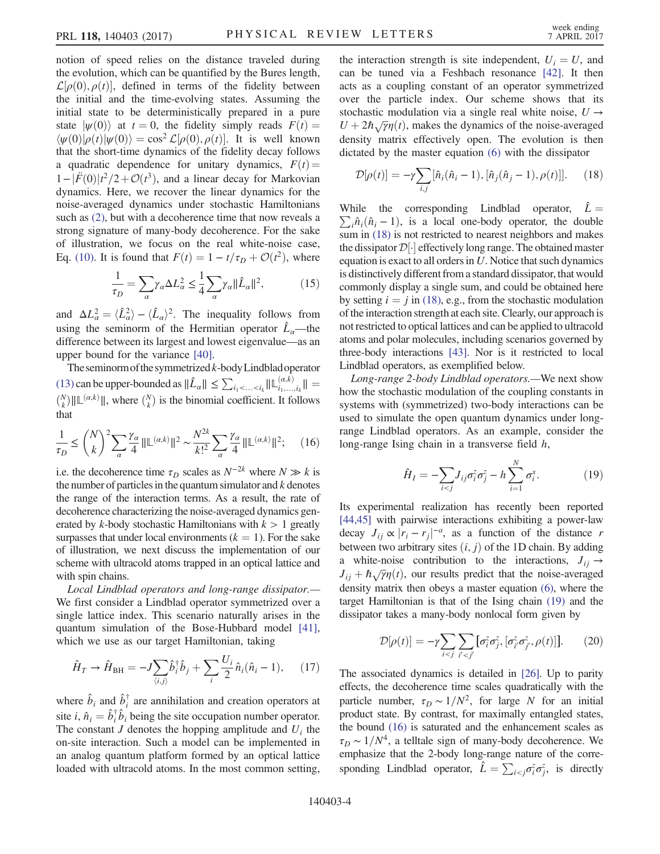notion of speed relies on the distance traveled during the evolution, which can be quantified by the Bures length,  $\mathcal{L}[\rho(0), \rho(t)]$ , defined in terms of the fidelity between<br>the initial and the time-evolving states. Assuming the the initial and the time-evolving states. Assuming the initial state to be deterministically prepared in a pure state  $|\psi(0)\rangle$  at  $t = 0$ , the fidelity simply reads  $F(t) =$  $\langle \psi(0) | \rho(t) | \psi(0) \rangle = \cos^2 \mathcal{L}[\rho(0), \rho(t)]$ . It is well known that the short-time dynamics of the fidelity decay follows that the short-time dynamics of the fidelity decay follows a quadratic dependence for unitary dynamics,  $F(t) =$  $1-\vert \vec{F}(0)\vert t^2/2+\mathcal{O}(t^3)$ , and a linear decay for Markovian<br>dynamics. Here, we recover the linear dynamics for the dynamics. Here, we recover the linear dynamics for the noise-averaged dynamics under stochastic Hamiltonians such as [\(2\)](#page-1-1), but with a decoherence time that now reveals a strong signature of many-body decoherence. For the sake of illustration, we focus on the real white-noise case, Eq. [\(10\).](#page-2-1) It is found that  $F(t) = 1 - t/\tau_D + \mathcal{O}(t^2)$ , where

$$
\frac{1}{\tau_D} = \sum_{\alpha} \gamma_{\alpha} \Delta L_{\alpha}^2 \le \frac{1}{4} \sum_{\alpha} \gamma_{\alpha} ||\hat{L}_{\alpha}||^2, \tag{15}
$$

and  $\Delta L_{\alpha}^2 = \langle \hat{L}_{\alpha}^2 \rangle - \langle \hat{L}_{\alpha} \rangle^2$ . The inequality follows from using the seminorm of the Hermitian operator  $\hat{L}_a$ —the difference between its largest and lowest eigenvalue—as an upper bound for the variance [\[40\].](#page-4-19)

The seminorm of the symmetrized  $k$ -body Lindblad operator [\(13\)](#page-2-2) can be upper-bounded as  $||\hat{L}_{\alpha}|| \leq \sum_{i_1 < ... < i_k} ||\mathbb{L}_{i_1,...,i_k}^{(\alpha,k)}|| =$  $\binom{N}{k} || \mathbb{L}^{(\alpha,k)}||$ , where  $\binom{N}{k}$  is the binomial coefficient. It follows that

<span id="page-3-2"></span>
$$
\frac{1}{\tau_D} \le \binom{N}{k}^2 \sum_{\alpha} \frac{\gamma_{\alpha}}{4} \|\mathbb{L}^{(\alpha,k)}\|^2 \sim \frac{N^{2k}}{k!^2} \sum_{\alpha} \frac{\gamma_{\alpha}}{4} \|\mathbb{L}^{(\alpha,k)}\|^2; \tag{16}
$$

i.e. the decoherence time  $\tau_D$  scales as  $N^{-2k}$  where  $N \gg k$  is the number of particles in the quantum simulator and  $k$  denotes the range of the interaction terms. As a result, the rate of decoherence characterizing the noise-averaged dynamics generated by k-body stochastic Hamiltonians with  $k > 1$  greatly surpasses that under local environments  $(k = 1)$ . For the sake of illustration, we next discuss the implementation of our scheme with ultracold atoms trapped in an optical lattice and with spin chains.

Local Lindblad operators and long-range dissipator.— We first consider a Lindblad operator symmetrized over a single lattice index. This scenario naturally arises in the quantum simulation of the Bose-Hubbard model [\[41\]](#page-5-0), which we use as our target Hamiltonian, taking

$$
\hat{H}_T \to \hat{H}_{\text{BH}} = -J \sum_{\langle i,j \rangle} \hat{b}_i^{\dagger} \hat{b}_j + \sum_i \frac{U_i}{2} \hat{n}_i (\hat{n}_i - 1), \quad (17)
$$

where  $\hat{b}_i$  and  $\hat{b}_i^{\dagger}$  are annihilation and creation operators at site *i*,  $\hat{n}_i = \hat{b}_i^{\dagger} \hat{b}_i$  being the site occupation number operator.<br>The constant *I* denotes the hopping amplitude and *II*, the The constant  $J$  denotes the hopping amplitude and  $U_i$  the on-site interaction. Such a model can be implemented in an analog quantum platform formed by an optical lattice loaded with ultracold atoms. In the most common setting,

the interaction strength is site independent,  $U_i = U$ , and can be tuned via a Feshbach resonance [\[42\].](#page-5-1) It then acts as a coupling constant of an operator symmetrized over the particle index. Our scheme shows that its stochastic modulation via a single real white noise,  $U \rightarrow$  $U + 2\hbar \sqrt{\gamma} \eta(t)$ , makes the dynamics of the noise-averaged<br>density matrix effectively open. The evolution is then density matrix effectively open. The evolution is then dictated by the master equation [\(6\)](#page-1-3) with the dissipator

<span id="page-3-0"></span>
$$
\mathcal{D}[\rho(t)] = -\gamma \sum_{i,j} [\hat{n}_i(\hat{n}_i - 1), [\hat{n}_j(\hat{n}_j - 1), \rho(t)]]. \tag{18}
$$

While the corresponding Lindblad operator,  $\hat{L} = \sum \hat{n} \cdot (\hat{n} - 1)$  is a local one-body operator the double  $\sum_i \hat{n}_i (\hat{n}_i - 1)$ , is a local one-body operator, the double<br>sum in (18) is not restricted to nearest neighbors and makes sum in [\(18\)](#page-3-0) is not restricted to nearest neighbors and makes the dissipator  $\mathcal{D}[\cdot]$  effectively long range. The obtained master<br>equation is exact to all orders in *U*. Notice that such dynamics equation is exact to all orders in  $U$ . Notice that such dynamics is distinctively different from a standard dissipator, that would commonly display a single sum, and could be obtained here by setting  $i = j$  in [\(18\)](#page-3-0), e.g., from the stochastic modulation of the interaction strength at each site. Clearly, our approach is not restricted to optical lattices and can be applied to ultracold atoms and polar molecules, including scenarios governed by three-body interactions [\[43\]](#page-5-2). Nor is it restricted to local Lindblad operators, as exemplified below.

<span id="page-3-1"></span>Long-range 2-body Lindblad operators.—We next show how the stochastic modulation of the coupling constants in systems with (symmetrized) two-body interactions can be used to simulate the open quantum dynamics under longrange Lindblad operators. As an example, consider the long-range Ising chain in a transverse field h,

$$
\hat{H}_I = -\sum_{i < j} J_{ij} \sigma_i^z \sigma_j^z - h \sum_{i=1}^N \sigma_i^x. \tag{19}
$$

Its experimental realization has recently been reported [\[44,45\]](#page-5-3) with pairwise interactions exhibiting a power-law decay  $J_{ij} \propto |r_i - r_j|^{-a}$ , as a function of the distance r<br>between two arbitrary sites (i, i) of the 1D chain. By adding between two arbitrary sites  $(i, j)$  of the 1D chain. By adding a white-noise contribution to the interactions,  $J_{ii} \rightarrow$  $J_{ij} + \hbar \sqrt{\gamma} \eta(t)$ , our results predict that the noise-averaged<br>density matrix then obeys a master equation (6), where the density matrix then obeys a master equation [\(6\),](#page-1-3) where the target Hamiltonian is that of the Ising chain [\(19\)](#page-3-1) and the dissipator takes a many-body nonlocal form given by

$$
\mathcal{D}[\rho(t)] = -\gamma \sum_{i < j} \sum_{i' < j'} [\sigma_i^z \sigma_j^z, [\sigma_{i'}^z \sigma_{j'}^z, \rho(t)]]. \tag{20}
$$

The associated dynamics is detailed in [\[26\].](#page-4-13) Up to parity effects, the decoherence time scales quadratically with the particle number,  $\tau_D \sim 1/N^2$ , for large N for an initial product state. By contrast, for maximally entangled states, the bound [\(16\)](#page-3-2) is saturated and the enhancement scales as  $\tau_D \sim 1/N^4$ , a telltale sign of many-body decoherence. We emphasize that the 2-body long-range nature of the corresponding Lindblad operator,  $\hat{L} = \sum_{i < j} \sigma_i^z \sigma_j^z$ , is directly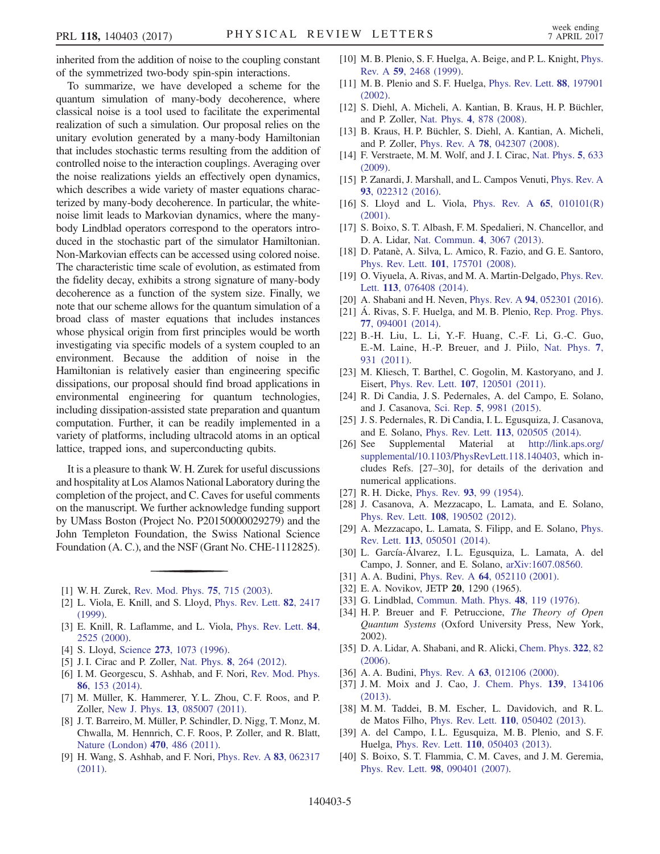inherited from the addition of noise to the coupling constant of the symmetrized two-body spin-spin interactions.

To summarize, we have developed a scheme for the quantum simulation of many-body decoherence, where classical noise is a tool used to facilitate the experimental realization of such a simulation. Our proposal relies on the unitary evolution generated by a many-body Hamiltonian that includes stochastic terms resulting from the addition of controlled noise to the interaction couplings. Averaging over the noise realizations yields an effectively open dynamics, which describes a wide variety of master equations characterized by many-body decoherence. In particular, the whitenoise limit leads to Markovian dynamics, where the manybody Lindblad operators correspond to the operators introduced in the stochastic part of the simulator Hamiltonian. Non-Markovian effects can be accessed using colored noise. The characteristic time scale of evolution, as estimated from the fidelity decay, exhibits a strong signature of many-body decoherence as a function of the system size. Finally, we note that our scheme allows for the quantum simulation of a broad class of master equations that includes instances whose physical origin from first principles would be worth investigating via specific models of a system coupled to an environment. Because the addition of noise in the Hamiltonian is relatively easier than engineering specific dissipations, our proposal should find broad applications in environmental engineering for quantum technologies, including dissipation-assisted state preparation and quantum computation. Further, it can be readily implemented in a variety of platforms, including ultracold atoms in an optical lattice, trapped ions, and superconducting qubits.

It is a pleasure to thank W. H. Zurek for useful discussions and hospitality at Los Alamos National Laboratory during the completion of the project, and C. Caves for useful comments on the manuscript. We further acknowledge funding support by UMass Boston (Project No. P20150000029279) and the John Templeton Foundation, the Swiss National Science Foundation (A. C.), and the NSF (Grant No. CHE-1112825).

- <span id="page-4-1"></span><span id="page-4-0"></span>[1] W. H. Zurek, [Rev. Mod. Phys.](https://doi.org/10.1103/RevModPhys.75.715) 75, 715 (2003).
- [2] L. Viola, E. Knill, and S. Lloyd, [Phys. Rev. Lett.](https://doi.org/10.1103/PhysRevLett.82.2417) 82, 2417 [\(1999\).](https://doi.org/10.1103/PhysRevLett.82.2417)
- [3] E. Knill, R. Laflamme, and L. Viola, [Phys. Rev. Lett.](https://doi.org/10.1103/PhysRevLett.84.2525) 84, [2525 \(2000\)](https://doi.org/10.1103/PhysRevLett.84.2525).
- <span id="page-4-2"></span>[4] S. Lloyd, Science 273[, 1073 \(1996\)](https://doi.org/10.1126/science.273.5278.1073).
- [5] J. I. Cirac and P. Zoller, Nat. Phys. 8[, 264 \(2012\).](https://doi.org/10.1038/nphys2275)
- [6] I. M. Georgescu, S. Ashhab, and F. Nori, [Rev. Mod. Phys.](https://doi.org/10.1103/RevModPhys.86.153) 86[, 153 \(2014\).](https://doi.org/10.1103/RevModPhys.86.153)
- <span id="page-4-3"></span>[7] M. Müller, K. Hammerer, Y. L. Zhou, C. F. Roos, and P. Zoller, New J. Phys. 13[, 085007 \(2011\).](https://doi.org/10.1088/1367-2630/13/8/085007)
- [8] J. T. Barreiro, M. Müller, P. Schindler, D. Nigg, T. Monz, M. Chwalla, M. Hennrich, C. F. Roos, P. Zoller, and R. Blatt, [Nature \(London\)](https://doi.org/10.1038/nature09801) 470, 486 (2011).
- [9] H. Wang, S. Ashhab, and F. Nori, [Phys. Rev. A](https://doi.org/10.1103/PhysRevA.83.062317) 83, 062317 [\(2011\).](https://doi.org/10.1103/PhysRevA.83.062317)
- <span id="page-4-4"></span>[10] M. B. Plenio, S. F. Huelga, A. Beige, and P. L. Knight, [Phys.](https://doi.org/10.1103/PhysRevA.59.2468) Rev. A 59[, 2468 \(1999\).](https://doi.org/10.1103/PhysRevA.59.2468)
- [11] M. B. Plenio and S. F. Huelga, [Phys. Rev. Lett.](https://doi.org/10.1103/PhysRevLett.88.197901) 88, 197901 [\(2002\).](https://doi.org/10.1103/PhysRevLett.88.197901)
- [12] S. Diehl, A. Micheli, A. Kantian, B. Kraus, H. P. Büchler, and P. Zoller, Nat. Phys. 4[, 878 \(2008\).](https://doi.org/10.1038/nphys1073)
- [13] B. Kraus, H. P. Büchler, S. Diehl, A. Kantian, A. Micheli, and P. Zoller, Phys. Rev. A 78[, 042307 \(2008\).](https://doi.org/10.1103/PhysRevA.78.042307)
- <span id="page-4-5"></span>[14] F. Verstraete, M. M. Wolf, and J. I. Cirac, [Nat. Phys.](https://doi.org/10.1038/nphys1342) 5, 633 [\(2009\).](https://doi.org/10.1038/nphys1342)
- [15] P. Zanardi, J. Marshall, and L. Campos Venuti, [Phys. Rev. A](https://doi.org/10.1103/PhysRevA.93.022312) 93[, 022312 \(2016\).](https://doi.org/10.1103/PhysRevA.93.022312)
- [16] S. Lloyd and L. Viola, [Phys. Rev. A](https://doi.org/10.1103/PhysRevA.65.010101) 65, 010101(R) [\(2001\).](https://doi.org/10.1103/PhysRevA.65.010101)
- [17] S. Boixo, S. T. Albash, F. M. Spedalieri, N. Chancellor, and D. A. Lidar, [Nat. Commun.](https://doi.org/10.1038/ncomms3067) 4, 3067 (2013).
- <span id="page-4-6"></span>[18] D. Patanè, A. Silva, L. Amico, R. Fazio, and G. E. Santoro, Phys. Rev. Lett. 101[, 175701 \(2008\).](https://doi.org/10.1103/PhysRevLett.101.175701)
- [19] O. Viyuela, A. Rivas, and M. A. Martin-Delgado, [Phys. Rev.](https://doi.org/10.1103/PhysRevLett.113.076408) Lett. 113[, 076408 \(2014\)](https://doi.org/10.1103/PhysRevLett.113.076408).
- <span id="page-4-8"></span><span id="page-4-7"></span>[20] A. Shabani and H. Neven, Phys. Rev. A 94[, 052301 \(2016\).](https://doi.org/10.1103/PhysRevA.94.052301)
- [21] Á. Rivas, S. F. Huelga, and M. B. Plenio, [Rep. Prog. Phys.](https://doi.org/10.1088/0034-4885/77/9/094001) 77[, 094001 \(2014\).](https://doi.org/10.1088/0034-4885/77/9/094001)
- <span id="page-4-9"></span>[22] B.-H. Liu, L. Li, Y.-F. Huang, C.-F. Li, G.-C. Guo, E.-M. Laine, H.-P. Breuer, and J. Piilo, [Nat. Phys.](https://doi.org/10.1038/nphys2085) 7, [931 \(2011\).](https://doi.org/10.1038/nphys2085)
- <span id="page-4-10"></span>[23] M. Kliesch, T. Barthel, C. Gogolin, M. Kastoryano, and J. Eisert, Phys. Rev. Lett. 107[, 120501 \(2011\)](https://doi.org/10.1103/PhysRevLett.107.120501).
- <span id="page-4-11"></span>[24] R. Di Candia, J. S. Pedernales, A. del Campo, E. Solano, and J. Casanova, Sci. Rep. 5[, 9981 \(2015\).](https://doi.org/10.1038/srep09981)
- <span id="page-4-12"></span>[25] J. S. Pedernales, R. Di Candia, I. L. Egusquiza, J. Casanova, and E. Solano, Phys. Rev. Lett. 113[, 020505 \(2014\)](https://doi.org/10.1103/PhysRevLett.113.020505).
- <span id="page-4-13"></span>[26] See Supplemental Material at [http://link.aps.org/](http://link.aps.org/supplemental/10.1103/PhysRevLett.118.140403) [supplemental/10.1103/PhysRevLett.118.140403](http://link.aps.org/supplemental/10.1103/PhysRevLett.118.140403), which includes Refs. [27–30], for details of the derivation and numerical applications.
- [27] R. H. Dicke, *Phys. Rev.* **93**[, 99 \(1954\).](https://doi.org/10.1103/PhysRev.93.99)
- [28] J. Casanova, A. Mezzacapo, L. Lamata, and E. Solano, Phys. Rev. Lett. 108[, 190502 \(2012\).](https://doi.org/10.1103/PhysRevLett.108.190502)
- [29] A. Mezzacapo, L. Lamata, S. Filipp, and E. Solano, [Phys.](https://doi.org/10.1103/PhysRevLett.113.050501) Rev. Lett. 113[, 050501 \(2014\).](https://doi.org/10.1103/PhysRevLett.113.050501)
- [30] L. García-Álvarez, I. L. Egusquiza, L. Lamata, A. del Campo, J. Sonner, and E. Solano, [arXiv:1607.08560.](http://arXiv.org/abs/1607.08560)
- <span id="page-4-14"></span>[31] A. A. Budini, *Phys. Rev. A* **64**[, 052110 \(2001\).](https://doi.org/10.1103/PhysRevA.64.052110)
- <span id="page-4-15"></span>[32] E.A. Novikov, JETP 20, 1290 (1965).
- [33] G. Lindblad, [Commun. Math. Phys.](https://doi.org/10.1007/BF01608499) 48, 119 (1976).
- [34] H.P. Breuer and F. Petruccione, *The Theory of Open* Quantum Systems (Oxford University Press, New York, 2002).
- <span id="page-4-16"></span>[35] D. A. Lidar, A. Shabani, and R. Alicki, [Chem. Phys.](https://doi.org/10.1016/j.chemphys.2005.06.038) 322, 82 [\(2006\).](https://doi.org/10.1016/j.chemphys.2005.06.038)
- <span id="page-4-17"></span>[36] A. A. Budini, *Phys. Rev. A* **63**[, 012106 \(2000\).](https://doi.org/10.1103/PhysRevA.63.012106)
- <span id="page-4-18"></span>[37] J. M. Moix and J. Cao, [J. Chem. Phys.](https://doi.org/10.1063/1.4822043) **139**, 134106 [\(2013\).](https://doi.org/10.1063/1.4822043)
- [38] M. M. Taddei, B. M. Escher, L. Davidovich, and R. L. de Matos Filho, Phys. Rev. Lett. 110[, 050402 \(2013\).](https://doi.org/10.1103/PhysRevLett.110.050402)
- <span id="page-4-19"></span>[39] A. del Campo, I.L. Egusquiza, M.B. Plenio, and S.F. Huelga, Phys. Rev. Lett. 110[, 050403 \(2013\).](https://doi.org/10.1103/PhysRevLett.110.050403)
- [40] S. Boixo, S. T. Flammia, C. M. Caves, and J. M. Geremia, Phys. Rev. Lett. 98[, 090401 \(2007\)](https://doi.org/10.1103/PhysRevLett.98.090401).